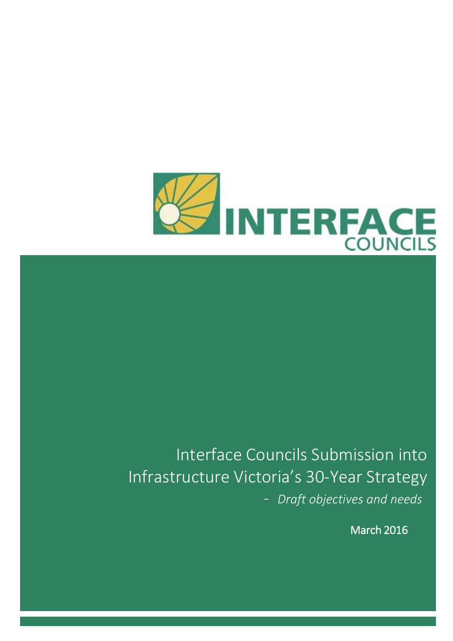

# Interface Councils Submission into Infrastructure Victoria's 30-Year Strategy - *Draft objectives and needs*

March 2016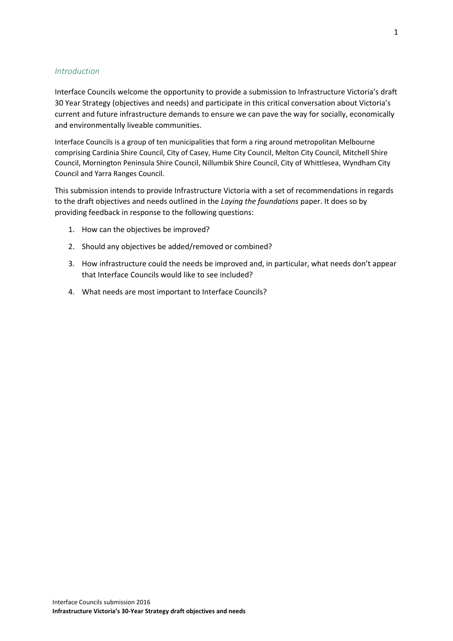#### *Introduction*

Interface Councils welcome the opportunity to provide a submission to Infrastructure Victoria's draft 30 Year Strategy (objectives and needs) and participate in this critical conversation about Victoria's current and future infrastructure demands to ensure we can pave the way for socially, economically and environmentally liveable communities.

Interface Councils is a group of ten municipalities that form a ring around metropolitan Melbourne comprising Cardinia Shire Council, City of Casey, Hume City Council, Melton City Council, Mitchell Shire Council, Mornington Peninsula Shire Council, Nillumbik Shire Council, City of Whittlesea, Wyndham City Council and Yarra Ranges Council.

This submission intends to provide Infrastructure Victoria with a set of recommendations in regards to the draft objectives and needs outlined in the *Laying the foundations* paper. It does so by providing feedback in response to the following questions:

- 1. How can the objectives be improved?
- 2. Should any objectives be added/removed or combined?
- 3. How infrastructure could the needs be improved and, in particular, what needs don't appear that Interface Councils would like to see included?
- 4. What needs are most important to Interface Councils?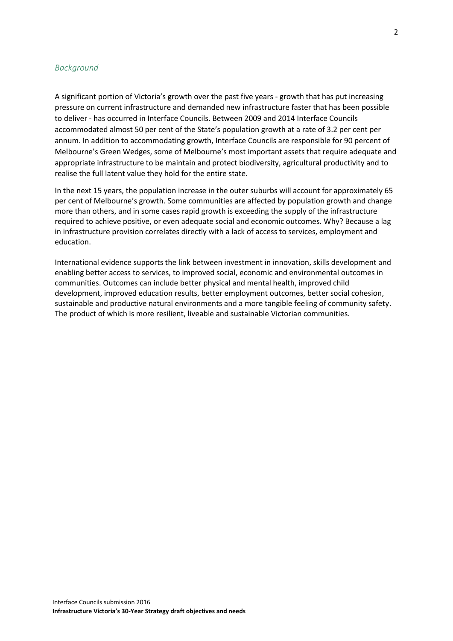#### *Background*

A significant portion of Victoria's growth over the past five years - growth that has put increasing pressure on current infrastructure and demanded new infrastructure faster that has been possible to deliver - has occurred in Interface Councils. Between 2009 and 2014 Interface Councils accommodated almost 50 per cent of the State's population growth at a rate of 3.2 per cent per annum. In addition to accommodating growth, Interface Councils are responsible for 90 percent of Melbourne's Green Wedges, some of Melbourne's most important assets that require adequate and appropriate infrastructure to be maintain and protect biodiversity, agricultural productivity and to realise the full latent value they hold for the entire state.

In the next 15 years, the population increase in the outer suburbs will account for approximately 65 per cent of Melbourne's growth. Some communities are affected by population growth and change more than others, and in some cases rapid growth is exceeding the supply of the infrastructure required to achieve positive, or even adequate social and economic outcomes. Why? Because a lag in infrastructure provision correlates directly with a lack of access to services, employment and education.

International evidence supports the link between investment in innovation, skills development and enabling better access to services, to improved social, economic and environmental outcomes in communities. Outcomes can include better physical and mental health, improved child development, improved education results, better employment outcomes, better social cohesion, sustainable and productive natural environments and a more tangible feeling of community safety. The product of which is more resilient, liveable and sustainable Victorian communities.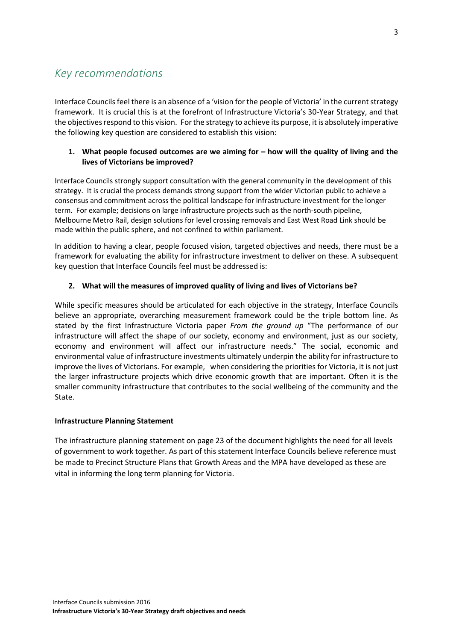# *Key recommendations*

Interface Councilsfeel there is an absence of a 'vision for the people of Victoria' in the current strategy framework. It is crucial this is at the forefront of Infrastructure Victoria's 30-Year Strategy, and that the objectives respond to this vision. For the strategy to achieve its purpose, it is absolutely imperative the following key question are considered to establish this vision:

### **1. What people focused outcomes are we aiming for – how will the quality of living and the lives of Victorians be improved?**

Interface Councils strongly support consultation with the general community in the development of this strategy. It is crucial the process demands strong support from the wider Victorian public to achieve a consensus and commitment across the political landscape for infrastructure investment for the longer term. For example; decisions on large infrastructure projects such as the north-south pipeline, Melbourne Metro Rail, design solutions for level crossing removals and East West Road Link should be made within the public sphere, and not confined to within parliament.

In addition to having a clear, people focused vision, targeted objectives and needs, there must be a framework for evaluating the ability for infrastructure investment to deliver on these. A subsequent key question that Interface Councils feel must be addressed is:

# **2. What will the measures of improved quality of living and lives of Victorians be?**

While specific measures should be articulated for each objective in the strategy, Interface Councils believe an appropriate, overarching measurement framework could be the triple bottom line. As stated by the first Infrastructure Victoria paper *From the ground up* "The performance of our infrastructure will affect the shape of our society, economy and environment, just as our society, economy and environment will affect our infrastructure needs." The social, economic and environmental value of infrastructure investments ultimately underpin the ability for infrastructure to improve the lives of Victorians. For example, when considering the priorities for Victoria, it is not just the larger infrastructure projects which drive economic growth that are important. Often it is the smaller community infrastructure that contributes to the social wellbeing of the community and the State.

# **Infrastructure Planning Statement**

The infrastructure planning statement on page 23 of the document highlights the need for all levels of government to work together. As part of this statement Interface Councils believe reference must be made to Precinct Structure Plans that Growth Areas and the MPA have developed as these are vital in informing the long term planning for Victoria.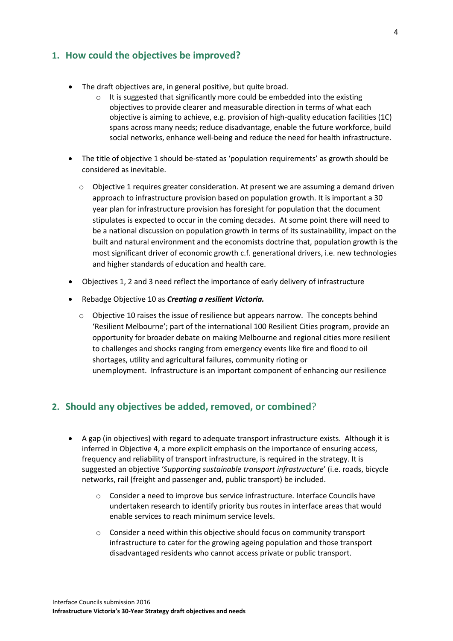# **1. How could the objectives be improved?**

- The draft objectives are, in general positive, but quite broad.
	- o It is suggested that significantly more could be embedded into the existing objectives to provide clearer and measurable direction in terms of what each objective is aiming to achieve, e.g. provision of high-quality education facilities (1C) spans across many needs; reduce disadvantage, enable the future workforce, build social networks, enhance well-being and reduce the need for health infrastructure.
- The title of objective 1 should be-stated as 'population requirements' as growth should be considered as inevitable.
	- o Objective 1 requires greater consideration. At present we are assuming a demand driven approach to infrastructure provision based on population growth. It is important a 30 year plan for infrastructure provision has foresight for population that the document stipulates is expected to occur in the coming decades. At some point there will need to be a national discussion on population growth in terms of its sustainability, impact on the built and natural environment and the economists doctrine that, population growth is the most significant driver of economic growth c.f. generational drivers, i.e. new technologies and higher standards of education and health care.
- Objectives 1, 2 and 3 need reflect the importance of early delivery of infrastructure
- Rebadge Objective 10 as *Creating a resilient Victoria.*
	- o Objective 10 raises the issue of resilience but appears narrow. The concepts behind 'Resilient Melbourne'; part of the international 100 Resilient Cities program, provide an opportunity for broader debate on making Melbourne and regional cities more resilient to challenges and shocks ranging from emergency events like fire and flood to oil shortages, utility and agricultural failures, community rioting or unemployment. Infrastructure is an important component of enhancing our resilience

# **2. Should any objectives be added, removed, or combined**?

- A gap (in objectives) with regard to adequate transport infrastructure exists. Although it is inferred in Objective 4, a more explicit emphasis on the importance of ensuring access, frequency and reliability of transport infrastructure, is required in the strategy. It is suggested an objective '*Supporting sustainable transport infrastructure*' (i.e. roads, bicycle networks, rail (freight and passenger and, public transport) be included.
	- o Consider a need to improve bus service infrastructure. Interface Councils have undertaken research to identify priority bus routes in interface areas that would enable services to reach minimum service levels.
	- o Consider a need within this objective should focus on community transport infrastructure to cater for the growing ageing population and those transport disadvantaged residents who cannot access private or public transport.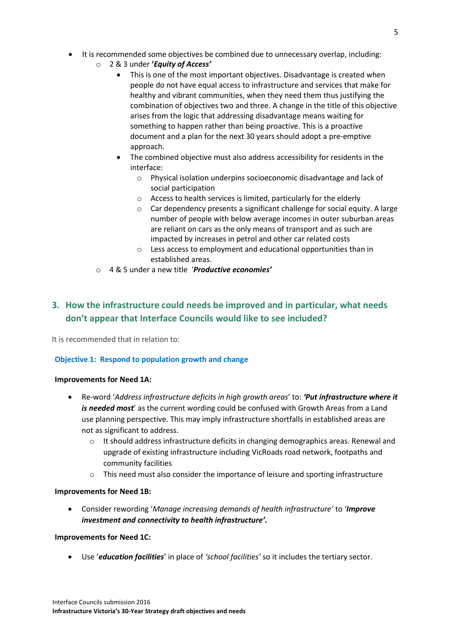- It is recommended some objectives be combined due to unnecessary overlap, including:
	- o 2 & 3 under **'***Equity of Access'*
		- This is one of the most important objectives. Disadvantage is created when people do not have equal access to infrastructure and services that make for healthy and vibrant communities, when they need them thus justifying the combination of objectives two and three. A change in the title of this objective arises from the logic that addressing disadvantage means waiting for something to happen rather than being proactive. This is a proactive document and a plan for the next 30 years should adopt a pre-emptive approach.
		- The combined objective must also address accessibility for residents in the interface:
			- o Physical isolation underpins socioeconomic disadvantage and lack of social participation
			- o Access to health services is limited, particularly for the elderly
			- o Car dependency presents a significant challenge for social equity. A large number of people with below average incomes in outer suburban areas are reliant on cars as the only means of transport and as such are impacted by increases in petrol and other car related costs
			- o Less access to employment and educational opportunities than in established areas.
	- o 4 & 5 under a new title '*Productive economies'*

# **3. How the infrastructure could needs be improved and in particular, what needs don't appear that Interface Councils would like to see included?**

It is recommended that in relation to:

# **Objective 1: Respond to population growth and change**

#### **Improvements for Need 1A:**

- Re-word '*Address infrastructure deficits in high growth areas*' to: *'Put infrastructure where it is needed most*' as the current wording could be confused with Growth Areas from a Land use planning perspective. This may imply infrastructure shortfalls in established areas are not as significant to address.
	- $\circ$  It should address infrastructure deficits in changing demographics areas. Renewal and upgrade of existing infrastructure including VicRoads road network, footpaths and community facilities
	- o This need must also consider the importance of leisure and sporting infrastructure

#### **Improvements for Need 1B:**

 Consider rewording '*Manage increasing demands of health infrastructure'* to '*Improve investment and connectivity to health infrastructure'.*

#### **Improvements for Need 1C:**

Use '*education facilities*' in place of *'school facilities'* so it includes the tertiary sector.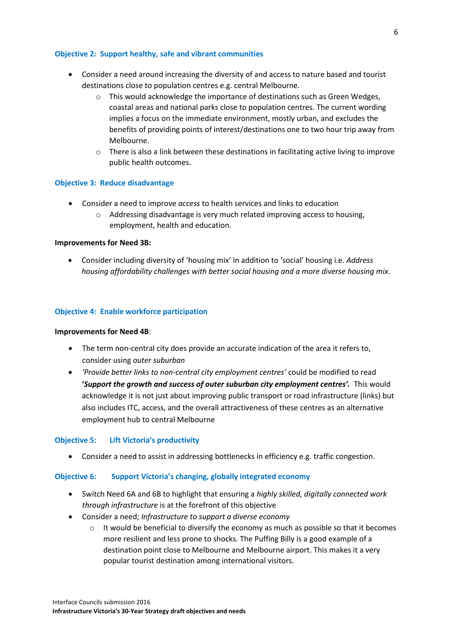#### **Objective 2: Support healthy, safe and vibrant communities**

- Consider a need around increasing the diversity of and access to nature based and tourist destinations close to population centres e.g. central Melbourne.
	- $\circ$  This would acknowledge the importance of destinations such as Green Wedges, coastal areas and national parks close to population centres. The current wording implies a focus on the immediate environment, mostly urban, and excludes the benefits of providing points of interest/destinations one to two hour trip away from Melbourne.
	- $\circ$  There is also a link between these destinations in facilitating active living to improve public health outcomes.

#### **Objective 3: Reduce disadvantage**

- Consider a need to improve *access* to health services and links to education
	- o Addressing disadvantage is very much related improving access to housing, employment, health and education.

#### **Improvements for Need 3B:**

 Consider including diversity of 'housing mix' in addition to 'social' housing i.e. *Address housing affordability challenges with better social housing and a more diverse housing mix*.

#### **Objective 4: Enable workforce participation**

#### **Improvements for Need 4B**:

- The term non-central city does provide an accurate indication of the area it refers to, consider using *outer suburban*
- *'Provide better links to non-central city employment centres'* could be modified to read **'***Support the growth and success of outer suburban city employment centres'.* This would acknowledge it is not just about improving public transport or road infrastructure (links) but also includes ITC, access, and the overall attractiveness of these centres as an alternative employment hub to central Melbourne

#### **Objective 5: Lift Victoria's productivity**

Consider a need to assist in addressing bottlenecks in efficiency e.g. traffic congestion.

#### **Objective 6: Support Victoria's changing, globally integrated economy**

- Switch Need 6A and 6B to highlight that ensuring a *highly skilled, digitally connected work through infrastructure* is at the forefront of this objective
- Consider a need; *Infrastructure to support a diverse economy* 
	- $\circ$  It would be beneficial to diversify the economy as much as possible so that it becomes more resilient and less prone to shocks. The Puffing Billy is a good example of a destination point close to Melbourne and Melbourne airport. This makes it a very popular tourist destination among international visitors.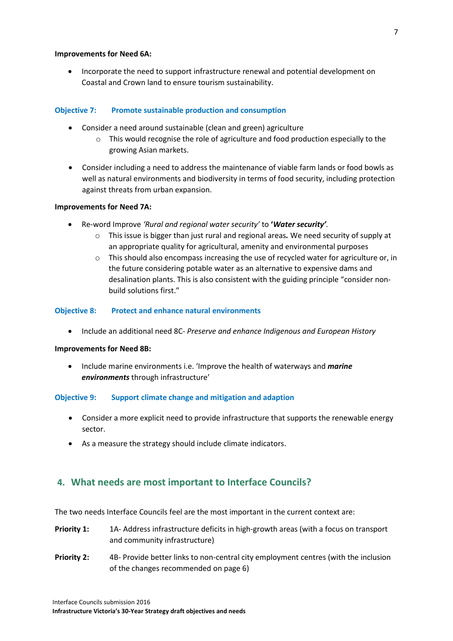#### **Improvements for Need 6A:**

• Incorporate the need to support infrastructure renewal and potential development on Coastal and Crown land to ensure tourism sustainability.

#### **Objective 7: Promote sustainable production and consumption**

- Consider a need around sustainable (clean and green) agriculture
	- $\circ$  This would recognise the role of agriculture and food production especially to the growing Asian markets.
- Consider including a need to address the maintenance of viable farm lands or food bowls as well as natural environments and biodiversity in terms of food security, including protection against threats from urban expansion.

#### **Improvements for Need 7A:**

- Re-word Improve *'Rural and regional water security'* to **'***Water security'.*
	- o This issue is bigger than just rural and regional areas*.* We need security of supply at an appropriate quality for agricultural, amenity and environmental purposes
	- $\circ$  This should also encompass increasing the use of recycled water for agriculture or, in the future considering potable water as an alternative to expensive dams and desalination plants. This is also consistent with the guiding principle "consider nonbuild solutions first."

#### **Objective 8: Protect and enhance natural environments**

Include an additional need 8C- *Preserve and enhance Indigenous and European History* 

#### **Improvements for Need 8B:**

 Include marine environments i.e. 'Improve the health of waterways and *marine environments* through infrastructure'

#### **Objective 9: Support climate change and mitigation and adaption**

- Consider a more explicit need to provide infrastructure that supports the renewable energy sector.
- As a measure the strategy should include climate indicators.

# **4. What needs are most important to Interface Councils?**

The two needs Interface Councils feel are the most important in the current context are:

- **Priority 1:** 1A- Address infrastructure deficits in high-growth areas (with a focus on transport and community infrastructure)
- **Priority 2:** 4B- Provide better links to non-central city employment centres (with the inclusion of the changes recommended on page 6)